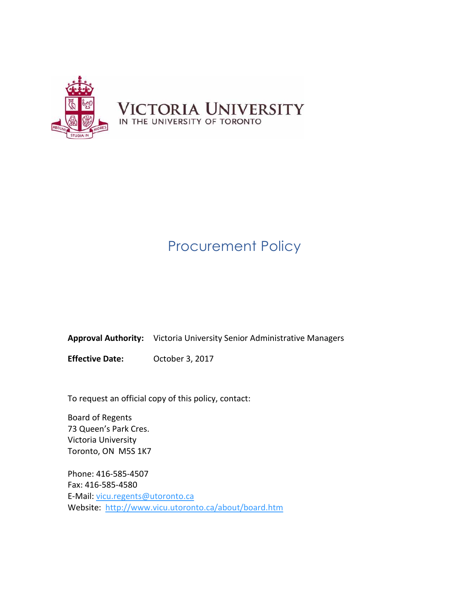

# Procurement Policy

**Approval Authority:** Victoria University Senior Administrative Managers

**Effective Date:** October 3, 2017

To request an official copy of this policy, contact:

Board of Regents 73 Queen's Park Cres. Victoria University Toronto, ON M5S 1K7

Phone: 416-585-4507 Fax: 416-585-4580 E-Mail: [vicu.regents@utoronto.ca](mailto:vicu.regents@utoronto.ca) Website: <http://www.vicu.utoronto.ca/about/board.htm>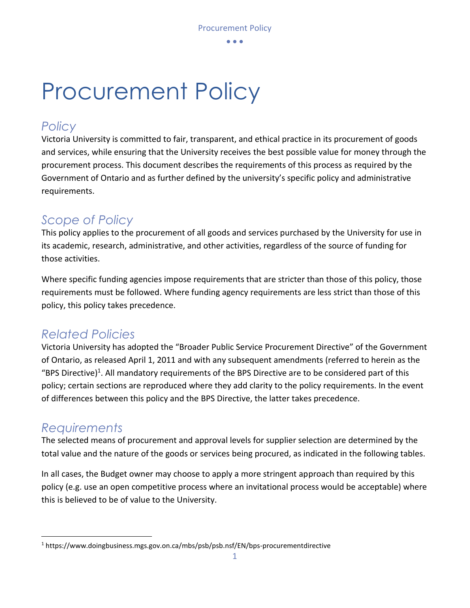$\bullet$   $\bullet$   $\bullet$ 

# Procurement Policy

## *Policy*

Victoria University is committed to fair, transparent, and ethical practice in its procurement of goods and services, while ensuring that the University receives the best possible value for money through the procurement process. This document describes the requirements of this process as required by the Government of Ontario and as further defined by the university's specific policy and administrative requirements.

## *Scope of Policy*

This policy applies to the procurement of all goods and services purchased by the University for use in its academic, research, administrative, and other activities, regardless of the source of funding for those activities.

Where specific funding agencies impose requirements that are stricter than those of this policy, those requirements must be followed. Where funding agency requirements are less strict than those of this policy, this policy takes precedence.

## *Related Policies*

Victoria University has adopted the "Broader Public Service Procurement Directive" of the Government of Ontario, as released April 1, 2011 and with any subsequent amendments (referred to herein as the "BPS Directive)<sup>1</sup>. All mandatory requirements of the BPS Directive are to be considered part of this policy; certain sections are reproduced where they add clarity to the policy requirements. In the event of differences between this policy and the BPS Directive, the latter takes precedence.

## *Requirements*

 $\overline{a}$ 

The selected means of procurement and approval levels for supplier selection are determined by the total value and the nature of the goods or services being procured, as indicated in the following tables.

In all cases, the Budget owner may choose to apply a more stringent approach than required by this policy (e.g. use an open competitive process where an invitational process would be acceptable) where this is believed to be of value to the University.

<sup>1</sup> https://www.doingbusiness.mgs.gov.on.ca/mbs/psb/psb.nsf/EN/bps-procurementdirective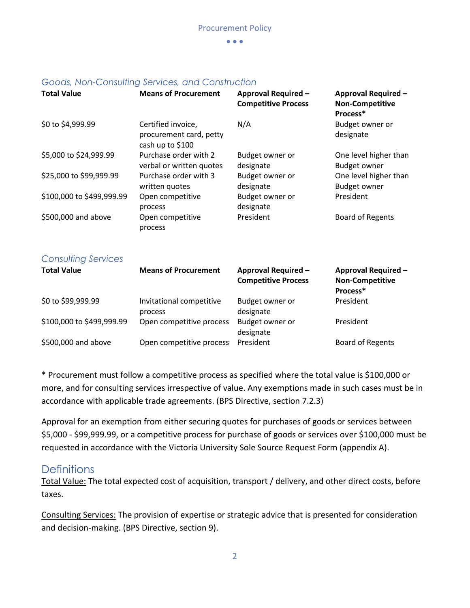$\bullet$   $\bullet$   $\bullet$ 

|                            | source the controlling connector and controlled                   |                                                          |                                                                  |
|----------------------------|-------------------------------------------------------------------|----------------------------------------------------------|------------------------------------------------------------------|
| <b>Total Value</b>         | <b>Means of Procurement</b>                                       | <b>Approval Required -</b><br><b>Competitive Process</b> | <b>Approval Required -</b><br><b>Non-Competitive</b><br>Process* |
| \$0 to \$4,999.99          | Certified invoice,<br>procurement card, petty<br>cash up to \$100 | N/A                                                      | Budget owner or<br>designate                                     |
| \$5,000 to \$24,999.99     | Purchase order with 2<br>verbal or written quotes                 | Budget owner or<br>designate                             | One level higher than<br><b>Budget owner</b>                     |
| \$25,000 to \$99,999.99    | Purchase order with 3<br>written quotes                           | Budget owner or<br>designate                             | One level higher than<br><b>Budget owner</b>                     |
| \$100,000 to \$499,999.99  | Open competitive<br>process                                       | Budget owner or<br>designate                             | President                                                        |
| \$500,000 and above        | Open competitive<br>process                                       | President                                                | <b>Board of Regents</b>                                          |
| <b>Consulting Services</b> |                                                                   |                                                          |                                                                  |
| <b>Total Value</b>         | <b>Means of Procurement</b>                                       | <b>Approval Required -</b><br><b>Competitive Process</b> | <b>Approval Required -</b><br><b>Non-Competitive</b><br>Process* |
| \$0 to \$99,999.99         | Invitational competitive<br>process                               | Budget owner or<br>designate                             | President                                                        |
| \$100,000 to \$499,999.99  | Open competitive process                                          | Budget owner or<br>designate                             | President                                                        |
| \$500,000 and above        | Open competitive process                                          | President                                                | <b>Board of Regents</b>                                          |

### *Goods, Non-Consulting Services, and Construction*

\* Procurement must follow a competitive process as specified where the total value is \$100,000 or more, and for consulting services irrespective of value. Any exemptions made in such cases must be in accordance with applicable trade agreements. (BPS Directive, section 7.2.3)

Approval for an exemption from either securing quotes for purchases of goods or services between \$5,000 - \$99,999.99, or a competitive process for purchase of goods or services over \$100,000 must be requested in accordance with the Victoria University Sole Source Request Form (appendix A).

## **Definitions**

Total Value: The total expected cost of acquisition, transport / delivery, and other direct costs, before taxes.

Consulting Services: The provision of expertise or strategic advice that is presented for consideration and decision-making. (BPS Directive, section 9).